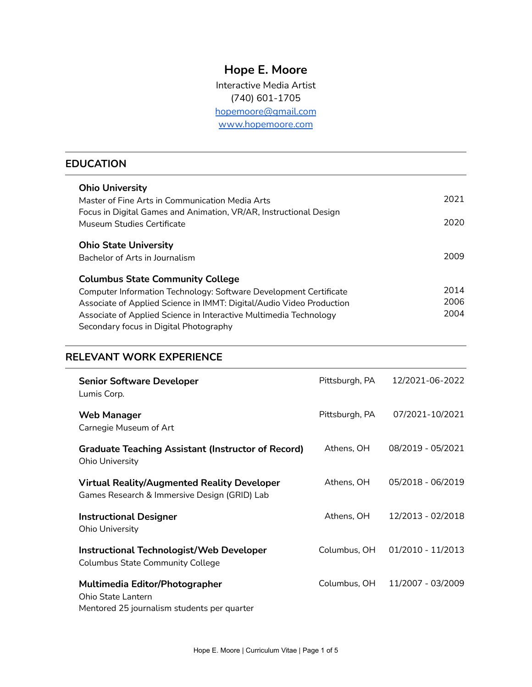# **Hope E. Moore**

Interactive Media Artist (740) 601-1705 [hopemoore@gmail.com](mailto:hopemoore@gmail.com) [www.hopemoore.com](https://www.hopemoore.com/)

#### **EDUCATION**

| <b>Ohio University</b><br>Master of Fine Arts in Communication Media Arts<br>Focus in Digital Games and Animation, VR/AR, Instructional Design<br>Museum Studies Certificate                                                                                                                        | 2021<br>2020         |
|-----------------------------------------------------------------------------------------------------------------------------------------------------------------------------------------------------------------------------------------------------------------------------------------------------|----------------------|
| <b>Ohio State University</b><br>Bachelor of Arts in Journalism                                                                                                                                                                                                                                      | 2009                 |
| <b>Columbus State Community College</b><br>Computer Information Technology: Software Development Certificate<br>Associate of Applied Science in IMMT: Digital/Audio Video Production<br>Associate of Applied Science in Interactive Multimedia Technology<br>Secondary focus in Digital Photography | 2014<br>2006<br>2004 |

## **RELEVANT WORK EXPERIENCE**

| <b>Senior Software Developer</b><br>Lumis Corp.                                                                   | Pittsburgh, PA | 12/2021-06-2022   |
|-------------------------------------------------------------------------------------------------------------------|----------------|-------------------|
| <b>Web Manager</b><br>Carnegie Museum of Art                                                                      | Pittsburgh, PA | 07/2021-10/2021   |
| <b>Graduate Teaching Assistant (Instructor of Record)</b><br><b>Ohio University</b>                               | Athens, OH     | 08/2019 - 05/2021 |
| <b>Virtual Reality/Augmented Reality Developer</b><br>Games Research & Immersive Design (GRID) Lab                | Athens, OH     | 05/2018 - 06/2019 |
| <b>Instructional Designer</b><br>Ohio University                                                                  | Athens, OH     | 12/2013 - 02/2018 |
| <b>Instructional Technologist/Web Developer</b><br><b>Columbus State Community College</b>                        | Columbus, OH   | 01/2010 - 11/2013 |
| <b>Multimedia Editor/Photographer</b><br><b>Ohio State Lantern</b><br>Mentored 25 journalism students per quarter | Columbus, OH   | 11/2007 - 03/2009 |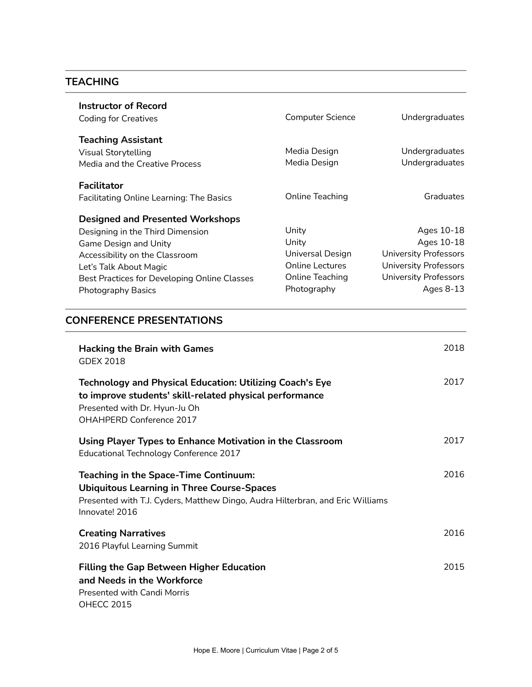# **TEACHING**

| <b>Instructor of Record</b>                                                                                                                                                                                                                          |                                                                                                |                                                                                                                                       |
|------------------------------------------------------------------------------------------------------------------------------------------------------------------------------------------------------------------------------------------------------|------------------------------------------------------------------------------------------------|---------------------------------------------------------------------------------------------------------------------------------------|
| <b>Coding for Creatives</b>                                                                                                                                                                                                                          | <b>Computer Science</b>                                                                        | <b>Undergraduates</b>                                                                                                                 |
| <b>Teaching Assistant</b><br>Visual Storytelling<br>Media and the Creative Process                                                                                                                                                                   | Media Design<br>Media Design                                                                   | Undergraduates<br>Undergraduates                                                                                                      |
| Facilitator<br><b>Facilitating Online Learning: The Basics</b>                                                                                                                                                                                       | Online Teaching                                                                                | Graduates                                                                                                                             |
| <b>Designed and Presented Workshops</b><br>Designing in the Third Dimension<br><b>Game Design and Unity</b><br>Accessibility on the Classroom<br>Let's Talk About Magic<br>Best Practices for Developing Online Classes<br><b>Photography Basics</b> | Unity<br>Unity<br>Universal Design<br><b>Online Lectures</b><br>Online Teaching<br>Photography | Ages 10-18<br>Ages 10-18<br><b>University Professors</b><br><b>University Professors</b><br><b>University Professors</b><br>Ages 8-13 |

### **CONFERENCE PRESENTATIONS**

| <b>Hacking the Brain with Games</b><br>GDFX 2018                                                                                                                                               | 2018 |
|------------------------------------------------------------------------------------------------------------------------------------------------------------------------------------------------|------|
| <b>Technology and Physical Education: Utilizing Coach's Eye</b><br>to improve students' skill-related physical performance<br>Presented with Dr. Hyun-Ju Oh<br>OHAHPERD Conference 2017        | 2017 |
| Using Player Types to Enhance Motivation in the Classroom<br>Educational Technology Conference 2017                                                                                            | 2017 |
| Teaching in the Space-Time Continuum:<br><b>Ubiquitous Learning in Three Course-Spaces</b><br>Presented with T.J. Cyders, Matthew Dingo, Audra Hilterbran, and Eric Williams<br>Innovate! 2016 | 2016 |
| <b>Creating Narratives</b><br>2016 Playful Learning Summit                                                                                                                                     | 2016 |
| <b>Filling the Gap Between Higher Education</b><br>and Needs in the Workforce<br><b>Presented with Candi Morris</b><br><b>OHECC 2015</b>                                                       | 2015 |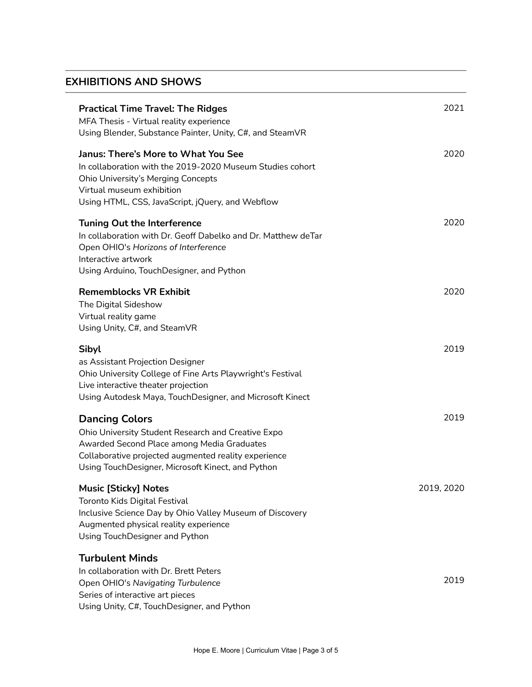#### **EXHIBITIONS AND SHOWS**

| <b>Practical Time Travel: The Ridges</b><br>MFA Thesis - Virtual reality experience<br>Using Blender, Substance Painter, Unity, C#, and SteamVR                                                                                        | 2021       |
|----------------------------------------------------------------------------------------------------------------------------------------------------------------------------------------------------------------------------------------|------------|
| <b>Janus: There's More to What You See</b><br>In collaboration with the 2019-2020 Museum Studies cohort<br><b>Ohio University's Merging Concepts</b><br>Virtual museum exhibition<br>Using HTML, CSS, JavaScript, jQuery, and Webflow  | 2020       |
| <b>Tuning Out the Interference</b><br>In collaboration with Dr. Geoff Dabelko and Dr. Matthew deTar<br>Open OHIO's Horizons of Interference<br>Interactive artwork<br>Using Arduino, TouchDesigner, and Python                         | 2020       |
| <b>Rememblocks VR Exhibit</b><br>The Digital Sideshow<br>Virtual reality game<br>Using Unity, C#, and SteamVR                                                                                                                          | 2020       |
| Sibyl<br>as Assistant Projection Designer<br>Ohio University College of Fine Arts Playwright's Festival<br>Live interactive theater projection<br>Using Autodesk Maya, TouchDesigner, and Microsoft Kinect                             | 2019       |
| <b>Dancing Colors</b><br>Ohio University Student Research and Creative Expo<br>Awarded Second Place among Media Graduates<br>Collaborative projected augmented reality experience<br>Using TouchDesigner, Microsoft Kinect, and Python | 2019       |
| <b>Music [Sticky] Notes</b><br>Toronto Kids Digital Festival<br>Inclusive Science Day by Ohio Valley Museum of Discovery<br>Augmented physical reality experience<br>Using TouchDesigner and Python                                    | 2019, 2020 |
| <b>Turbulent Minds</b><br>In collaboration with Dr. Brett Peters<br>Open OHIO's Navigating Turbulence<br>Series of interactive art pieces<br>Using Unity, C#, TouchDesigner, and Python                                                | 2019       |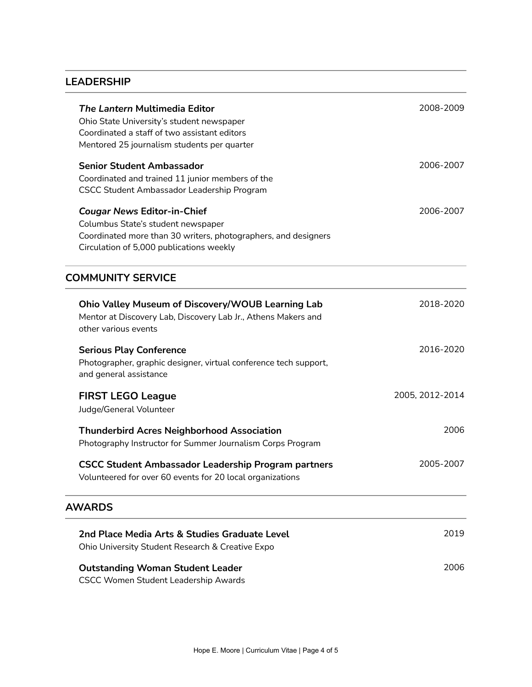### **LEADERSHIP**

| The Lantern Multimedia Editor<br>Ohio State University's student newspaper<br>Coordinated a staff of two assistant editors<br>Mentored 25 journalism students per quarter              | 2008-2009       |
|----------------------------------------------------------------------------------------------------------------------------------------------------------------------------------------|-----------------|
| <b>Senior Student Ambassador</b><br>Coordinated and trained 11 junior members of the<br>CSCC Student Ambassador Leadership Program                                                     | 2006-2007       |
| <b>Cougar News Editor-in-Chief</b><br>Columbus State's student newspaper<br>Coordinated more than 30 writers, photographers, and designers<br>Circulation of 5,000 publications weekly | 2006-2007       |
| <b>COMMUNITY SERVICE</b>                                                                                                                                                               |                 |
| <b>Ohio Valley Museum of Discovery/WOUB Learning Lab</b><br>Mentor at Discovery Lab, Discovery Lab Jr., Athens Makers and<br>other various events                                      | 2018-2020       |
| <b>Serious Play Conference</b><br>Photographer, graphic designer, virtual conference tech support,<br>and general assistance                                                           | 2016-2020       |
| <b>FIRST LEGO League</b><br>Judge/General Volunteer                                                                                                                                    | 2005, 2012-2014 |
| <b>Thunderbird Acres Neighborhood Association</b><br>Photography Instructor for Summer Journalism Corps Program                                                                        | 2006            |
| <b>CSCC Student Ambassador Leadership Program partners</b><br>Volunteered for over 60 events for 20 local organizations                                                                | 2005-2007       |
| <b>AWARDS</b>                                                                                                                                                                          |                 |
| 2nd Place Media Arts & Studies Graduate Level<br>Ohio University Student Research & Creative Expo                                                                                      | 2019            |
| <b>Outstanding Woman Student Leader</b><br><b>CSCC Women Student Leadership Awards</b>                                                                                                 | 2006            |